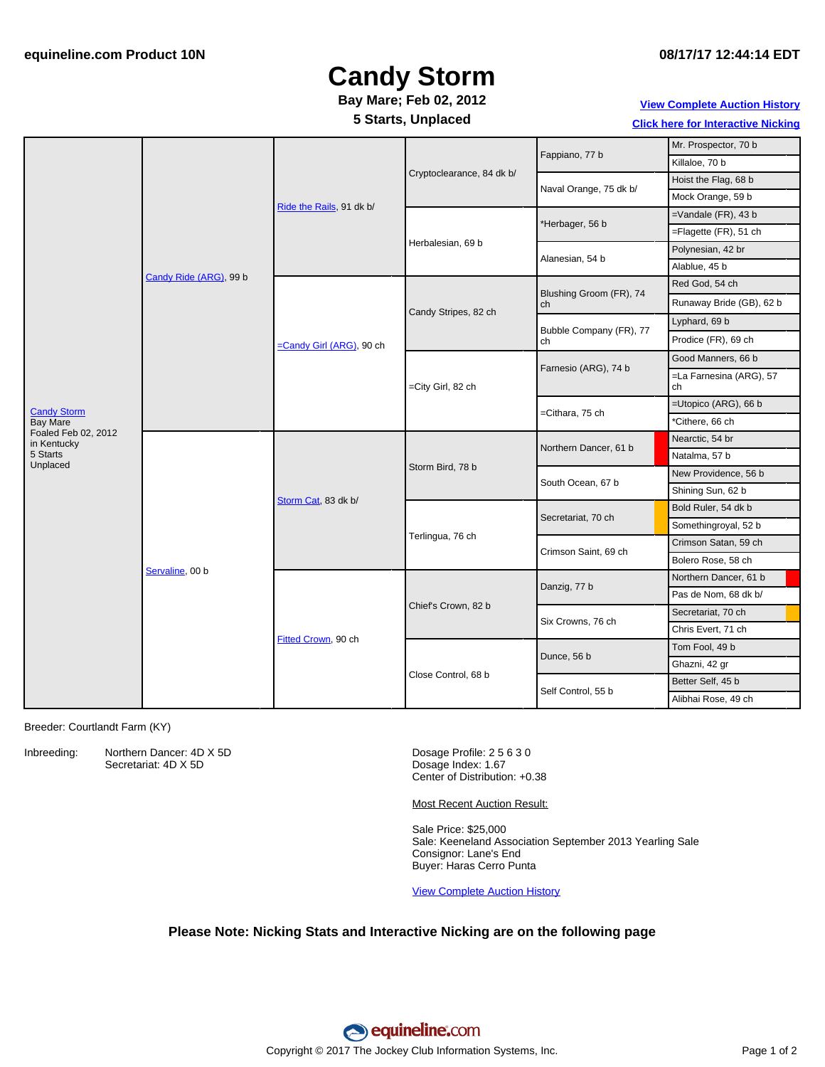## **Candy Storm**

### **Bay Mare; Feb 02, 2012**

**5 Starts, Unplaced**

### **View [Complete](http://www.equineline.com/Free-Auction-Results.cfm?upsellReferenceNumber=&upsellHorseName=&upsellBreedType=&upsellHorseType=&upsellYOB=&lookupAuctionResults=true&tempHorseType=&tempSale=ALL&tempYear=ALL&search_type=HORSE&reference_number=9264822&horse_name=Fateful&horse_type=ALL&year=ALL&sale=ALL&consignor_id=&consignor_name=&buyer_id=&buyer_name=&price_range_low=&price_range_high=&availableConsignors=&availableBuyers=&fromFree5CrossPedigree=Y) Auction History**

**Click here for [Interactive](#page-1-0) Nicking**

|                                                                             | Candy Ride (ARG), 99 b | Ride the Rails, 91 dk b/ | Cryptoclearance, 84 dk b/ | Fappiano, 77 b                | Mr. Prospector, 70 b          |
|-----------------------------------------------------------------------------|------------------------|--------------------------|---------------------------|-------------------------------|-------------------------------|
|                                                                             |                        |                          |                           |                               | Killaloe, 70 b                |
|                                                                             |                        |                          |                           | Naval Orange, 75 dk b/        | Hoist the Flag, 68 b          |
|                                                                             |                        |                          |                           |                               | Mock Orange, 59 b             |
|                                                                             |                        |                          | Herbalesian, 69 b         | *Herbager, 56 b               | $=$ Vandale (FR), 43 b        |
|                                                                             |                        |                          |                           |                               | =Flagette (FR), 51 ch         |
|                                                                             |                        |                          |                           | Alanesian, 54 b               | Polynesian, 42 br             |
|                                                                             |                        |                          |                           |                               | Alablue, 45 b                 |
|                                                                             |                        | =Candy Girl (ARG), 90 ch | Candy Stripes, 82 ch      | Blushing Groom (FR), 74<br>ch | Red God, 54 ch                |
| <b>Candy Storm</b><br><b>Bay Mare</b><br>Foaled Feb 02, 2012<br>in Kentucky |                        |                          |                           |                               | Runaway Bride (GB), 62 b      |
|                                                                             |                        |                          |                           | Bubble Company (FR), 77<br>ch | Lyphard, 69 b                 |
|                                                                             |                        |                          |                           |                               | Prodice (FR), 69 ch           |
|                                                                             |                        |                          | =City Girl, 82 ch         | Farnesio (ARG), 74 b          | Good Manners, 66 b            |
|                                                                             |                        |                          |                           |                               | =La Farnesina (ARG), 57<br>ch |
|                                                                             |                        |                          |                           | =Cithara, 75 ch               | $=$ Utopico (ARG), 66 b       |
|                                                                             |                        |                          |                           |                               | *Cithere, 66 ch               |
|                                                                             | Servaline, 00 b        | Storm Cat, 83 dk b/      | Storm Bird, 78 b          | Northern Dancer, 61 b         | Nearctic, 54 br               |
| 5 Starts<br>Unplaced                                                        |                        |                          |                           |                               | Natalma, 57 b                 |
|                                                                             |                        |                          |                           | South Ocean, 67 b             | New Providence, 56 b          |
|                                                                             |                        |                          |                           |                               | Shining Sun, 62 b             |
|                                                                             |                        |                          | Terlingua, 76 ch          | Secretariat, 70 ch            | Bold Ruler, 54 dk b           |
|                                                                             |                        |                          |                           |                               | Somethingroyal, 52 b          |
|                                                                             |                        |                          |                           | Crimson Saint, 69 ch          | Crimson Satan, 59 ch          |
|                                                                             |                        |                          |                           |                               | Bolero Rose, 58 ch            |
|                                                                             |                        | Fitted Crown, 90 ch      | Chief's Crown, 82 b       | Danzig, 77 b                  | Northern Dancer, 61 b         |
|                                                                             |                        |                          |                           |                               | Pas de Nom, 68 dk b/          |
|                                                                             |                        |                          |                           | Six Crowns, 76 ch             | Secretariat, 70 ch            |
|                                                                             |                        |                          |                           |                               | Chris Evert, 71 ch            |
|                                                                             |                        |                          | Close Control, 68 b       | Dunce, 56 b                   | Tom Fool, 49 b                |
|                                                                             |                        |                          |                           |                               | Ghazni, 42 gr                 |
|                                                                             |                        |                          |                           | Self Control, 55 b            | Better Self, 45 b             |
|                                                                             |                        |                          |                           |                               | Alibhai Rose, 49 ch           |

Breeder: Courtlandt Farm (KY)

Inbreeding: Northern Dancer: 4D X 5D

Secretariat: 4D X 5D

Dosage Profile: 2 5 6 3 0 Dosage Index: 1.67 Center of Distribution: +0.38

Most Recent Auction Result:

Sale Price: \$25,000 Sale: Keeneland Association September 2013 Yearling Sale Consignor: Lane's End Buyer: Haras Cerro Punta

View [Complete](http://www.equineline.com/Free-Auction-Results.cfm?upsellReferenceNumber=&upsellHorseName=&upsellBreedType=&upsellHorseType=&upsellYOB=&lookupAuctionResults=true&tempHorseType=&tempSale=ALL&tempYear=ALL&search_type=HORSE&reference_number=9264822&horse_name=Fateful&horse_type=ALL&year=ALL&sale=ALL&consignor_id=&consignor_name=&buyer_id=&buyer_name=&price_range_low=&price_range_high=&availableConsignors=&availableBuyers=&fromFree5CrossPedigree=Y) Auction History

#### **Please Note: Nicking Stats and Interactive Nicking are on the following page**